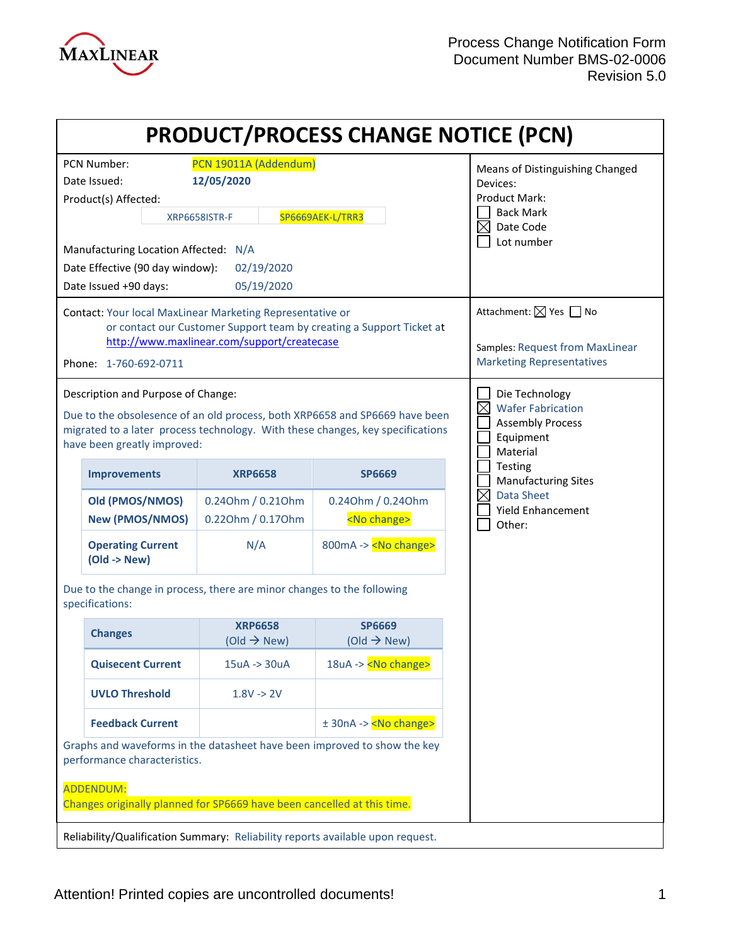

|                                                                                                                                                                                                                                    |                                                                                  | <b>PRODUCT/PROCESS CHANGE NOTICE (PCN)</b> |                                                                                                                                   |
|------------------------------------------------------------------------------------------------------------------------------------------------------------------------------------------------------------------------------------|----------------------------------------------------------------------------------|--------------------------------------------|-----------------------------------------------------------------------------------------------------------------------------------|
| <b>PCN Number:</b><br>Date Issued:<br>Product(s) Affected:<br>Manufacturing Location Affected: N/A<br>Date Effective (90 day window):<br>Date Issued +90 days:                                                                     | PCN 19011A (Addendum)<br>12/05/2020<br>XRP6658ISTR-F<br>02/19/2020<br>05/19/2020 | SP6669AEK-L/TRR3                           | Means of Distinguishing Changed<br>Devices:<br><b>Product Mark:</b><br><b>Back Mark</b><br>$\boxtimes$<br>Date Code<br>Lot number |
| Contact: Your local MaxLinear Marketing Representative or<br>or contact our Customer Support team by creating a Support Ticket at<br>http://www.maxlinear.com/support/createcase<br>Phone: 1-760-692-0711                          |                                                                                  |                                            | Attachment: ⊠ Yes □ No<br>Samples: Request from MaxLinear<br><b>Marketing Representatives</b>                                     |
| Description and Purpose of Change:<br>Due to the obsolesence of an old process, both XRP6658 and SP6669 have been<br>migrated to a later process technology. With these changes, key specifications<br>have been greatly improved: |                                                                                  |                                            | Die Technology<br>$\boxtimes$<br><b>Wafer Fabrication</b><br><b>Assembly Process</b><br>Equipment<br>Material                     |
| <b>Improvements</b>                                                                                                                                                                                                                | <b>XRP6658</b>                                                                   | <b>SP6669</b>                              | Testing<br><b>Manufacturing Sites</b>                                                                                             |
| Old (PMOS/NMOS)<br><b>New (PMOS/NMOS)</b>                                                                                                                                                                                          | 0.240hm / 0.210hm<br>0.220hm / 0.170hm                                           | 0.240hm / 0.240hm<br><no change=""></no>   | $\boxtimes$<br><b>Data Sheet</b><br><b>Yield Enhancement</b><br>Other:                                                            |
| <b>Operating Current</b><br>$(Old -> New)$                                                                                                                                                                                         | N/A                                                                              | 800mA -> <no change=""></no>               |                                                                                                                                   |
| Due to the change in process, there are minor changes to the following<br>specifications:                                                                                                                                          |                                                                                  |                                            |                                                                                                                                   |
| <b>Changes</b>                                                                                                                                                                                                                     | <b>XRP6658</b><br>(Old $\rightarrow$ New)                                        | <b>SP6669</b><br>(Old $\rightarrow$ New)   |                                                                                                                                   |
| <b>Quisecent Current</b>                                                                                                                                                                                                           | $15uA \rightarrow 30uA$                                                          | 18uA -> <no change=""></no>                |                                                                                                                                   |
| <b>UVLO Threshold</b>                                                                                                                                                                                                              | $1.8V \ge 2V$                                                                    |                                            |                                                                                                                                   |
| <b>Feedback Current</b>                                                                                                                                                                                                            |                                                                                  | $± 30nA -> No change$                      |                                                                                                                                   |
| Graphs and waveforms in the datasheet have been improved to show the key<br>performance characteristics.                                                                                                                           |                                                                                  |                                            |                                                                                                                                   |
| <b>ADDENDUM:</b><br>Changes originally planned for SP6669 have been cancelled at this time.<br>Reliability/Qualification Summary: Reliability reports available upon request.                                                      |                                                                                  |                                            |                                                                                                                                   |